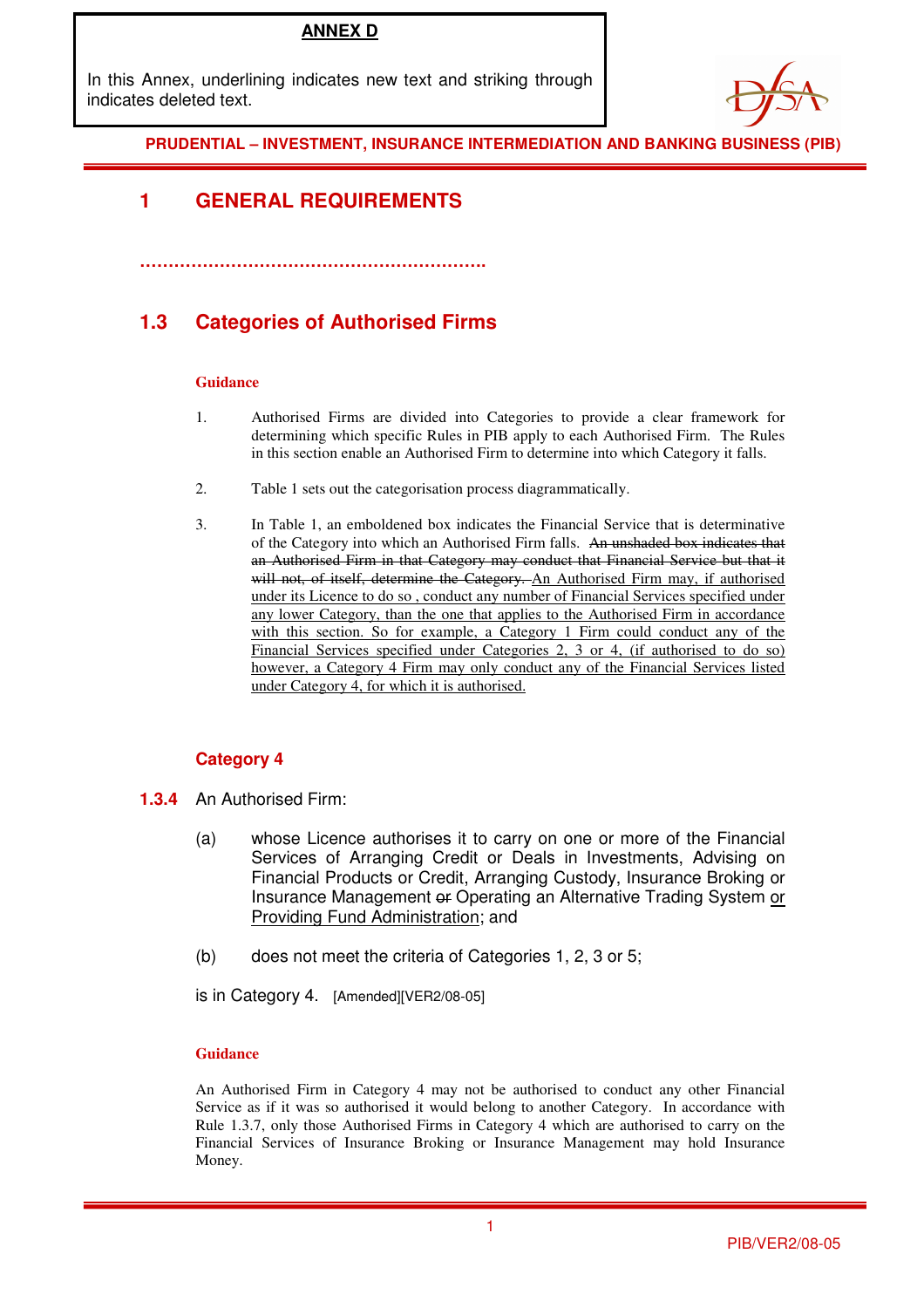## **ANNEX D**

In this Annex, underlining indicates new text and striking through indicates deleted text.



### **PRUDENTIAL – INVESTMENT, INSURANCE INTERMEDIATION AND BANKING BUSINESS (PIB)**

## **1 GENERAL REQUIREMENTS**

## **1.3 Categories of Authorised Firms**

**…………………………………………………….** 

#### **Guidance**

- 1. Authorised Firms are divided into Categories to provide a clear framework for determining which specific Rules in PIB apply to each Authorised Firm. The Rules in this section enable an Authorised Firm to determine into which Category it falls.
- 2. Table 1 sets out the categorisation process diagrammatically.
- 3. In Table 1, an emboldened box indicates the Financial Service that is determinative of the Category into which an Authorised Firm falls. An unshaded box indicates that an Authorised Firm in that Category may conduct that Financial Service but that it will not, of itself, determine the Category. An Authorised Firm may, if authorised under its Licence to do so , conduct any number of Financial Services specified under any lower Category, than the one that applies to the Authorised Firm in accordance with this section. So for example, a Category 1 Firm could conduct any of the Financial Services specified under Categories 2, 3 or 4, (if authorised to do so) however, a Category 4 Firm may only conduct any of the Financial Services listed under Category 4, for which it is authorised.

### **Category 4**

- **1.3.4** An Authorised Firm:
	- (a) whose Licence authorises it to carry on one or more of the Financial Services of Arranging Credit or Deals in Investments, Advising on Financial Products or Credit, Arranging Custody, Insurance Broking or Insurance Management or Operating an Alternative Trading System or Providing Fund Administration; and
	- (b) does not meet the criteria of Categories 1, 2, 3 or 5;

is in Category 4. [Amended][VER2/08-05]

### **Guidance**

An Authorised Firm in Category 4 may not be authorised to conduct any other Financial Service as if it was so authorised it would belong to another Category. In accordance with Rule 1.3.7, only those Authorised Firms in Category 4 which are authorised to carry on the Financial Services of Insurance Broking or Insurance Management may hold Insurance Money.